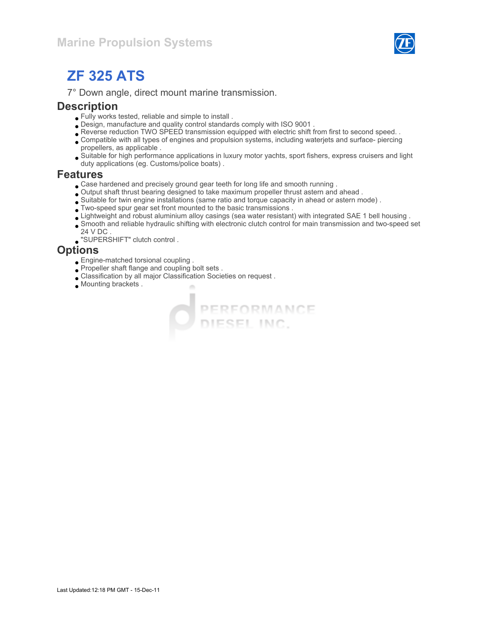

# ZF 325 ATS

7° Down angle, direct mount marine transmission.

### **Description**

- Fully works tested, reliable and simple to install .
- Design, manufacture and quality control standards comply with ISO 9001 .
- Reverse reduction TWO SPEED transmission equipped with electric shift from first to second speed. .
- Compatible with all types of engines and propulsion systems, including waterjets and surface- piercing propellers, as applicable .
- Suitable for high performance applications in luxury motor yachts, sport fishers, express cruisers and light duty applications (eg. Customs/police boats) .

#### Features

- Case hardened and precisely ground gear teeth for long life and smooth running .
- Output shaft thrust bearing designed to take maximum propeller thrust astern and ahead .
- Suitable for twin engine installations (same ratio and torque capacity in ahead or astern mode) .
- Two-speed spur gear set front mounted to the basic transmissions .
- Lightweight and robust aluminium alloy casings (sea water resistant) with integrated SAE 1 bell housing .

PERFORMANCE

- Smooth and reliable hydraulic shifting with electronic clutch control for main transmission and two-speed set 24 V DC .
- "SUPERSHIFT" clutch control .

### **Options**

- Engine-matched torsional coupling .
- Propeller shaft flange and coupling bolt sets .
- Classification by all major Classification Societies on request .
- Mounting brackets .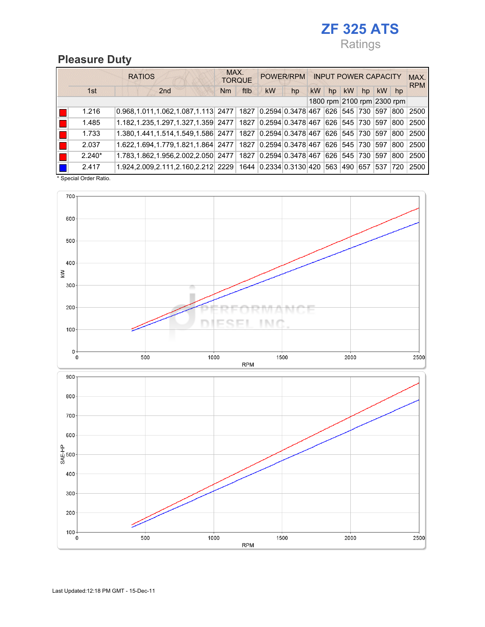# ZF 325 ATS Ratings

## Pleasure Duty

|    |          | <b>RATIOS</b>                                                                 | MAX.<br><b>TORQUE</b> | POWER/RPM                      |          | <b>INPUT POWER CAPACITY</b> |                 | MAX.<br><b>RPM</b> |
|----|----------|-------------------------------------------------------------------------------|-----------------------|--------------------------------|----------|-----------------------------|-----------------|--------------------|
|    | 1st      | 2 <sub>nd</sub>                                                               | ftlb<br>Nm            | kW<br>hp                       | kW<br>hp | <b>kW</b><br>hp             | <b>kW</b><br>hp |                    |
|    |          |                                                                               |                       |                                |          | 1800 rpm 2100 rpm 2300 rpm  |                 |                    |
|    | 1.216    | $0.968, 1.011, 1.062, 1.087, 1.113$ 2477   1827   0.2594 0.3478 467           |                       |                                | 626 545  | 1730                        | 597<br>800      | 2500               |
|    | 1.485    | 1.182,1.235,1.297,1.327,1.359 2477   1827 0.2594 0.3478 467 626 545 730       |                       |                                |          |                             | 597<br>800      | 2500               |
| Ш. | 1.733    | 1.380,1.441,1.514,1.549,1.586 2477   1827   0.2594 0.3478 467 626   545   730 |                       |                                |          |                             | 597<br>800      | 2500               |
|    | 2.037    | 1.622,1.694,1.779,1.821,1.864 2477 1827 0.2594 0.3478 467 626 545             |                       |                                |          | 1730                        | 597<br>800      | 2500               |
|    | $2.240*$ | 1.783, 1.862, 1.956, 2.002, 2.050 2477                                        |                       | 1827 0.2594 0.3478 467 626 545 |          | 730                         | 597<br>800      | 2500               |
|    | 2.417    | 1.924,2.009,2.111,2.160,2.212 2229 1644 0.2334 0.3130 420                     |                       |                                | 563 490  | 657                         | 537 720         | 2500               |

\* Special Order Ratio.

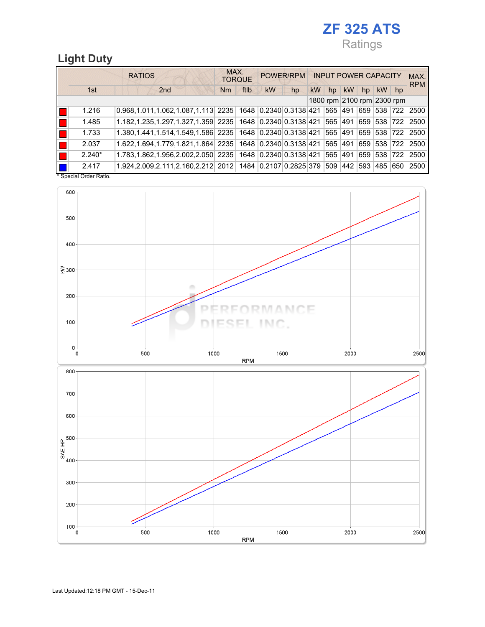# ZF 325 ATS Ratings

## Light Duty

|          |  | <b>RATIOS</b> |     |                                                                         | MAX. | <b>TORQUE</b> |           | POWER/RPM |    |    | <b>INPUT POWER CAPACITY</b> |     |             |                            | MAX.<br><b>RPM</b> |
|----------|--|---------------|-----|-------------------------------------------------------------------------|------|---------------|-----------|-----------|----|----|-----------------------------|-----|-------------|----------------------------|--------------------|
| 1st      |  |               | 2nd |                                                                         | Nm   | ftlb          | <b>kW</b> | hp        | kW | hp | <b>kW</b>                   | hp  | <b>kW</b>   | hp                         |                    |
|          |  |               |     |                                                                         |      |               |           |           |    |    |                             |     |             | 1800 rpm 2100 rpm 2300 rpm |                    |
| 1.216    |  |               |     | $0.968, 1.011, 1.062, 1.087, 1.113$ 2235 1648 0.2340 0.3138 421 565 491 |      |               |           |           |    |    |                             |     | 659 538 722 |                            | 2500               |
| 1.485    |  |               |     | $1.182, 1.235, 1.297, 1.327, 1.359$ 2235 1648 0.2340 0.3138 421 565 491 |      |               |           |           |    |    |                             |     | 659 538 722 |                            | 2500               |
| 1.733    |  |               |     | 1.380,1.441,1.514,1.549,1.586 2235 1648 0.2340 0.3138 421 565 491       |      |               |           |           |    |    |                             |     | 659 538 722 |                            | 2500               |
| 2.037    |  |               |     | 1.622,1.694,1.779,1.821,1.864 2235 1648 0.2340 0.3138 421 565 491       |      |               |           |           |    |    |                             |     | 659 538 722 |                            | 2500               |
| $2.240*$ |  |               |     | 1.783,1.862,1.956,2.002,2.050 2235 1648 0.2340 0.3138 421 565 491       |      |               |           |           |    |    |                             |     | 659 538 722 |                            | 2500               |
| 2.417    |  |               |     | 1.924,2.009,2.111,2.160,2.212 2012 1484 0.2107 0.2825 379 509 442       |      |               |           |           |    |    |                             | 593 | 485 650     |                            | 2500               |

\* Special Order Ratio.

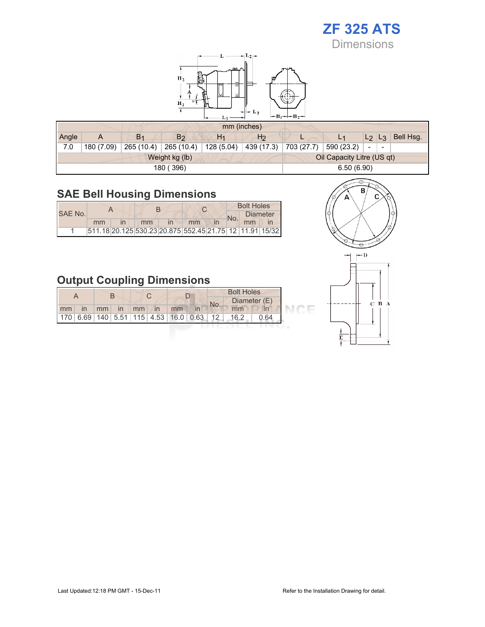# ZF 325 ATS

**Dimensions** 



|       |            |                |                |                | mm (inches)    |            |                            |                          |           |
|-------|------------|----------------|----------------|----------------|----------------|------------|----------------------------|--------------------------|-----------|
| Angle | A          | B <sub>1</sub> | B <sub>2</sub> | H <sub>1</sub> | H <sub>2</sub> | ┕          |                            | L <sub>2</sub><br>$L_3$  | Bell Hsg. |
| 7.0   | 180 (7.09) | 265 (10.4)     | 265 (10.4)     | 128 (5.04)     | 439 (17.3)     | 703 (27.7) | 590 (23.2)                 | $\overline{\phantom{a}}$ |           |
|       |            |                | Weight kg (lb) |                |                |            | Oil Capacity Litre (US qt) |                          |           |
|       |            |                | 180 (396)      |                |                |            | 6.50(6.90)                 |                          |           |

## SAE Bell Housing Dimensions

|         |    |    |              |                                                         |  | <b>Bolt Holes</b> |                 |
|---------|----|----|--------------|---------------------------------------------------------|--|-------------------|-----------------|
| SAE No. |    |    |              |                                                         |  |                   | <b>Diameter</b> |
|         | mm | mm | $\mathsf{I}$ | mm                                                      |  | mm                |                 |
|         |    |    |              | 511.18 20.125 530.23 20.875 552.45 21.75 12 11.91 15/32 |  |                   |                 |

## Output Coupling Dimensions

|    |                                           |    |    |    |                |    |     | <b>Bolt Holes</b> |              |  |  |  |
|----|-------------------------------------------|----|----|----|----------------|----|-----|-------------------|--------------|--|--|--|
| mm | $\mathsf{I}$                              | mm | in | mm | $\overline{m}$ | mm | No. | mm                | Diameter (E) |  |  |  |
|    | $170$ 6.69 140 5.51 115 4.53 16.0 0.63 12 |    |    |    |                |    |     | 16.2              | 0.64         |  |  |  |